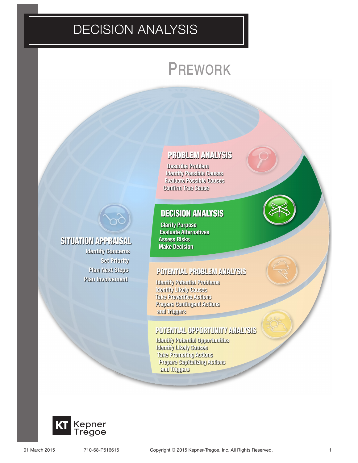## DECISION ANALYSIS

# PREWORK

## **PROBLEM ANALYSIS**

Describe Problem **Identify Possible Causes Evaluate Possible Causes Confirm True Cause** 

## **DECISION ANALYSIS**

**Clarify Purpose Evaluate Alternatives Assess Risks Make Decision** 

## POTENTIAL PROBLEM ANALYSIS

Identify Potential Problems **Identify Likely Causes** Take Preventive Actions Prepare Contingent Actions and Triggers

## POTENTIAL OPPORTUNITY ANALYSIS

Identify Potential Opportunities **Identify Likely Causes** Take Promoting Actions Prepare Capitalizing Actions and Triggers



**SITUATION APPRAISAL** 

**Identify Concerns** 

Plan Involvement

Set Priority Plan Next Steps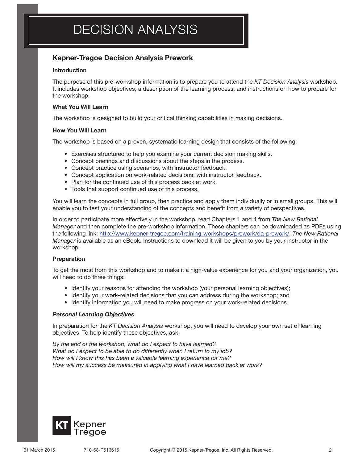### Kepner-Tregoe Decision Analysis Prework

#### Introduction

The purpose of this pre-workshop information is to prepare you to attend the *KT Decision Analysis* workshop. It includes workshop objectives, a description of the learning process, and instructions on how to prepare for the workshop.

#### What You Will Learn

The workshop is designed to build your critical thinking capabilities in making decisions.

#### How You Will Learn

The workshop is based on a proven, systematic learning design that consists of the following:

- • Exercises structured to help you examine your current decision making skills.
- Concept briefings and discussions about the steps in the process.
- Concept practice using scenarios, with instructor feedback.
- Concept application on work-related decisions, with instructor feedback.
- Plan for the continued use of this process back at work.
- Tools that support continued use of this process.

You will learn the concepts in full group, then practice and apply them individually or in small groups. This will enable you to test your understanding of the concepts and benefit from a variety of perspectives.

In order to participate more effectively in the workshop, read Chapters 1 and 4 from *The New Rational Manager* and then complete the pre-workshop information. These chapters can be downloaded as PDFs using the following link: http://www.kepner-tregoe.com/training-workshops/prework/da-prework/. *The New Rational Manager* is available as an eBook. Instructions to download it will be given to you by your instructor in the workshop.

#### Preparation

To get the most from this workshop and to make it a high-value experience for you and your organization, you will need to do three things:

- Identify your reasons for attending the workshop (your personal learning objectives);
- Identify your work-related decisions that you can address during the workshop; and
- • Identify information you will need to make progress on your work-related decisions.

#### *Personal Learning Objectives*

In preparation for the *KT Decision Analysis* workshop, you will need to develop your own set of learning objectives. To help identify these objectives, ask:

*By the end of the workshop, what do I expect to have learned? What do I expect to be able to do differently when I return to my job? How will I know this has been a valuable learning experience for me? How will my success be measured in applying what I have learned back at work?*

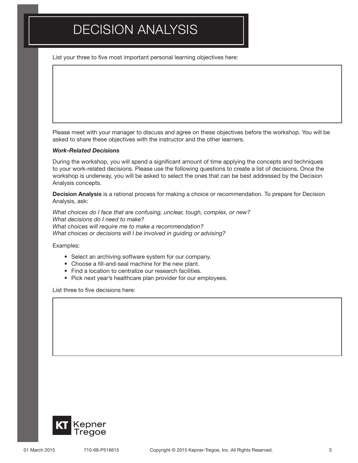# DECISION ANALYSIS

List your three to five most important personal learning objectives here:

Please meet with your manager to discuss and agree on these objectives before the workshop. You will be asked to share these objectives with the instructor and the other learners.

#### *Work-Related Decisions*

During the workshop, you will spend a significant amount of time applying the concepts and techniques to your work-related decisions. Please use the following questions to create a list of decisions. Once the workshop is underway, you will be asked to select the ones that can be best addressed by the Decision Analysis concepts.

Decision Analysis is a rational process for making a choice or recommendation. To prepare for Decision Analysis, ask:

*What choices do I face that are confusing, unclear, tough, complex, or new? What decisions do I need to make? What choices will require me to make a recommendation? What choices or decisions will I be involved in guiding or advising?*

Examples:

- Select an archiving software system for our company.
- Choose a fill-and-seal machine for the new plant.
- Find a location to centralize our research facilities.
- Pick next year's healthcare plan provider for our employees.

List three to five decisions here: